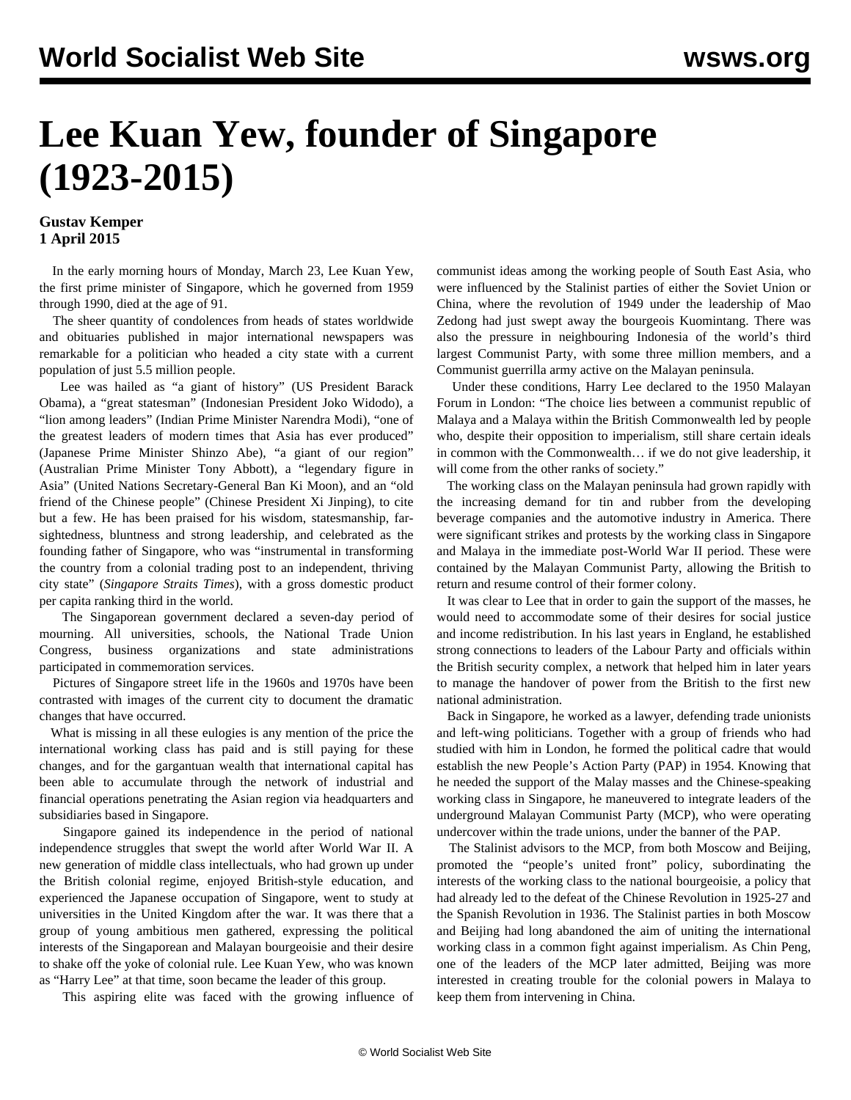## **Lee Kuan Yew, founder of Singapore (1923-2015)**

## **Gustav Kemper 1 April 2015**

 In the early morning hours of Monday, March 23, Lee Kuan Yew, the first prime minister of Singapore, which he governed from 1959 through 1990, died at the age of 91.

 The sheer quantity of condolences from heads of states worldwide and obituaries published in major international newspapers was remarkable for a politician who headed a city state with a current population of just 5.5 million people.

 Lee was hailed as "a giant of history" (US President Barack Obama), a "great statesman" (Indonesian President Joko Widodo), a "lion among leaders" (Indian Prime Minister Narendra Modi), "one of the greatest leaders of modern times that Asia has ever produced" (Japanese Prime Minister Shinzo Abe), "a giant of our region" (Australian Prime Minister Tony Abbott), a "legendary figure in Asia" (United Nations Secretary-General Ban Ki Moon), and an "old friend of the Chinese people" (Chinese President Xi Jinping), to cite but a few. He has been praised for his wisdom, statesmanship, farsightedness, bluntness and strong leadership, and celebrated as the founding father of Singapore, who was "instrumental in transforming the country from a colonial trading post to an independent, thriving city state" (*Singapore Straits Times*), with a gross domestic product per capita ranking third in the world.

 The Singaporean government declared a seven-day period of mourning. All universities, schools, the National Trade Union Congress, business organizations and state administrations participated in commemoration services.

 Pictures of Singapore street life in the 1960s and 1970s have been contrasted with images of the current city to document the dramatic changes that have occurred.

 What is missing in all these eulogies is any mention of the price the international working class has paid and is still paying for these changes, and for the gargantuan wealth that international capital has been able to accumulate through the network of industrial and financial operations penetrating the Asian region via headquarters and subsidiaries based in Singapore.

 Singapore gained its independence in the period of national independence struggles that swept the world after World War II. A new generation of middle class intellectuals, who had grown up under the British colonial regime, enjoyed British-style education, and experienced the Japanese occupation of Singapore, went to study at universities in the United Kingdom after the war. It was there that a group of young ambitious men gathered, expressing the political interests of the Singaporean and Malayan bourgeoisie and their desire to shake off the yoke of colonial rule. Lee Kuan Yew, who was known as "Harry Lee" at that time, soon became the leader of this group.

This aspiring elite was faced with the growing influence of

communist ideas among the working people of South East Asia, who were influenced by the Stalinist parties of either the Soviet Union or China, where the revolution of 1949 under the leadership of Mao Zedong had just swept away the bourgeois Kuomintang. There was also the pressure in neighbouring Indonesia of the world's third largest Communist Party, with some three million members, and a Communist guerrilla army active on the Malayan peninsula.

 Under these conditions, Harry Lee declared to the 1950 Malayan Forum in London: "The choice lies between a communist republic of Malaya and a Malaya within the British Commonwealth led by people who, despite their opposition to imperialism, still share certain ideals in common with the Commonwealth… if we do not give leadership, it will come from the other ranks of society."

 The working class on the Malayan peninsula had grown rapidly with the increasing demand for tin and rubber from the developing beverage companies and the automotive industry in America. There were significant strikes and protests by the working class in Singapore and Malaya in the immediate post-World War II period. These were contained by the Malayan Communist Party, allowing the British to return and resume control of their former colony.

 It was clear to Lee that in order to gain the support of the masses, he would need to accommodate some of their desires for social justice and income redistribution. In his last years in England, he established strong connections to leaders of the Labour Party and officials within the British security complex, a network that helped him in later years to manage the handover of power from the British to the first new national administration.

 Back in Singapore, he worked as a lawyer, defending trade unionists and left-wing politicians. Together with a group of friends who had studied with him in London, he formed the political cadre that would establish the new People's Action Party (PAP) in 1954. Knowing that he needed the support of the Malay masses and the Chinese-speaking working class in Singapore, he maneuvered to integrate leaders of the underground Malayan Communist Party (MCP), who were operating undercover within the trade unions, under the banner of the PAP.

 The Stalinist advisors to the MCP, from both Moscow and Beijing, promoted the "people's united front" policy, subordinating the interests of the working class to the national bourgeoisie, a policy that had already led to the defeat of the Chinese Revolution in 1925-27 and the Spanish Revolution in 1936. The Stalinist parties in both Moscow and Beijing had long abandoned the aim of uniting the international working class in a common fight against imperialism. As Chin Peng, one of the leaders of the MCP later admitted, Beijing was more interested in creating trouble for the colonial powers in Malaya to keep them from intervening in China.